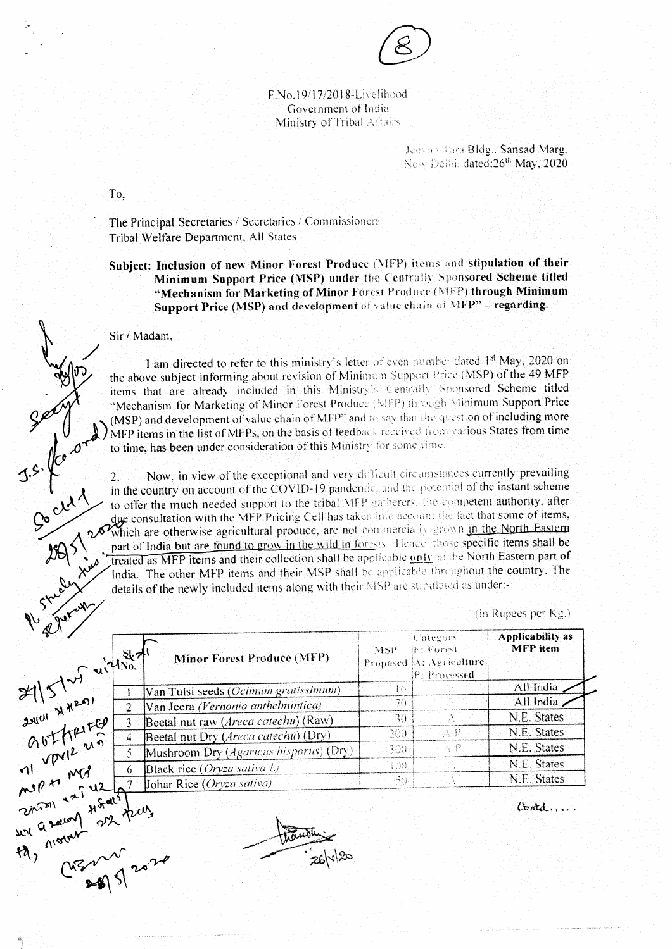

F.No.19/17/2018-Livelihood Government of India Ministry of Tribal Affairs

> Jeevan Tara Bldg., Sansad Marg. New Delbi, dated:26<sup>th</sup> May, 2020

To.

The Principal Secretaries / Secretaries / Commissioners Tribal Welfare Department, All States

Subject: Inclusion of new Minor Forest Produce (MFP) items and stipulation of their Minimum Support Price (MSP) under the Centrally Sponsored Scheme titled "Mechanism for Marketing of Minor Forest Produce (MFP) through Minimum Support Price (MSP) and development of value chain of MFP" - regarding.

## Sir / Madam,

 $3.5.1$ 

1 am directed to refer to this ministry's letter of even number dated 1<sup>st</sup> May, 2020 on the above subject informing about revision of Minimum Support Price (MSP) of the 49 MFP items that are already included in this Ministry's Centrally Sponsored Scheme titled "Mechanism for Marketing of Minor Forest Produce (MFP) through Minimum Support Price When the say that the question of including more to the part of MFPs, on the basis of feedback received from various States from time to time, has been under consideration of this Minister formulation of the Minister of t

Now, in view of the exceptional and very difficult circumstances currently prevailing 2. in the country on account of the COVID-19 pandemic, and the potential of the instant scheme to offer the much needed support to the tribal MFP gatherers, the competent authority, after due consultation with the MFP Pricing Cell has taken into account the fact that some of items, Which are otherwise agricultural produce, are not commercially grown in the North Eastern part of India but are found to grow in the wild in forests. Hence, those specific items shall be treated as MFP items and their collection shall be applicable only in the North Eastern part of India. The other MFP items and their MSP shall be applicable throughout the country. The details of the newly included items along with their MSP are stipulated as under:-

(in Rupees per Kg.)

| $V_{\phi}$<br>$x = 1$<br>$x = 1$<br>$x = 1$<br>$x = 1$<br>$x = 1$<br>$x = 1$<br>$x = 1$<br>$x = 1$<br>$x = 1$<br>$x = 1$<br>$x = 1$<br>$x = 1$<br>$x = 1$<br>$x = 1$<br>$x = 1$<br>$x = 1$<br>$x = 1$<br>$x = 1$<br>$x = 1$<br>$x = 1$<br>$x = 1$<br>$x = 1$<br>$x = 1$<br>$x = 1$<br>$x = 1$<br>$x = 1$<br>$x = 1$<br>$x = 1$ | <b>Minor Forest Produce (MFP)</b>       | MSP. | Category<br>$\mathbb{F} \colon \mathbb{F}$ orest<br>Proposed [A: Agriculture]<br>P: Processed | Applicability as<br><b>MFP</b> item |
|--------------------------------------------------------------------------------------------------------------------------------------------------------------------------------------------------------------------------------------------------------------------------------------------------------------------------------|-----------------------------------------|------|-----------------------------------------------------------------------------------------------|-------------------------------------|
|                                                                                                                                                                                                                                                                                                                                | Van Tulsi seeds (Ocimum gratissimum)    | 16.  |                                                                                               | All India                           |
|                                                                                                                                                                                                                                                                                                                                | Van Jeera (Vernonia anthelmintica)      | 70   |                                                                                               | All India                           |
|                                                                                                                                                                                                                                                                                                                                | Beetal nut raw (Areca catechu) (Raw)    | 30   |                                                                                               | N.E. States                         |
|                                                                                                                                                                                                                                                                                                                                | Beetal nut Dry (Areca catechu) (Dry)    | 200  | АP                                                                                            | N.E. States                         |
|                                                                                                                                                                                                                                                                                                                                | [Mushroom Dry (Agaricus bisporus) (Dry) | 300  | ΑP.                                                                                           | N.E. States                         |
|                                                                                                                                                                                                                                                                                                                                | Black rice $(Oryza sativa b)$           | 400. |                                                                                               | N.E. States                         |
|                                                                                                                                                                                                                                                                                                                                | Johar Rice (Oryza sativa)               | 59.  | ં                                                                                             | N.E. States                         |
|                                                                                                                                                                                                                                                                                                                                |                                         |      |                                                                                               | Contd                               |
| 11 ver med 6<br>map to wed 12 9 1<br>212 m 1 2 12 9 12 12 13<br>212 9 2001 22 12 13<br>21 0 22 1 2020                                                                                                                                                                                                                          | 261/20                                  |      |                                                                                               |                                     |

Contd....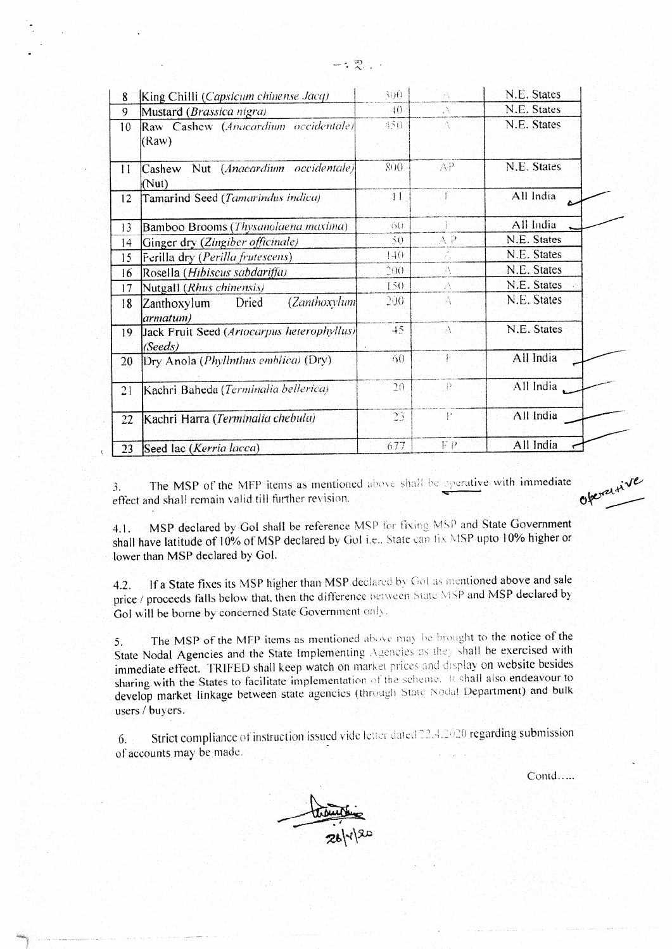| 8               | King Chilli (Capsicum chinense Jacq)                  | 300<br>ρà.    |      | N.E. States |  |
|-----------------|-------------------------------------------------------|---------------|------|-------------|--|
| 9               | Mustard (Brassica nigra)                              | 40.           | A    | N.E. States |  |
| 10 <sup>°</sup> | Raw Cashew (Anacardium occidentale)<br>(Raw)          | $450^{\circ}$ |      | N.E. States |  |
| $\prod$         | Cashew Nut (Anacardium occidentale)<br>(Nut)          | 800           | 'AP  | N.E. States |  |
| 12              | Tamarind Seed (Tamarindus indica)                     | $\pm 1$       | ΤP.  | All India   |  |
| 13              | Bamboo Brooms (Thysanolaena maxima)                   | 75G)          |      | All India   |  |
| $ 4\rangle$     | Ginger dry (Zingiber officinale)                      | 50.           | A, P | N.E. States |  |
| 15              | Ferilla dry (Perilla frutescens)                      | 140           | 7k   | N.E. States |  |
| 16              | Rosella (Hibiscus sabdariffa)                         | 200-          | A.   | N.E. States |  |
| 17              | Nutgall (Rhus chinensis)                              | F50.          | A    | N.E. States |  |
| 18 <sup>°</sup> | (Zanthox<br>Dried<br>Zanthoxylum<br>armatum)          | 200.          | - A  | N.E. States |  |
| 19.             | Jack Fruit Seed (Artocarpus heterophyllus)<br>(Seeds) | 45.           | A    | N.E. States |  |
| 20              | Dry Anola (Phyllnthus emblica) (Dry)                  | 60            | 軍    | All India   |  |
| 21              | Kachri Baheda (Terminalia bellerica)                  | $20 -$        | ्रो  | All India   |  |
| 22              | Kachri Harra (Terminalia chebula)                     | 23.           | P    | All India   |  |
| 23.             | Seed lac (Kerria lacca)                               | 677           | F P  | All India   |  |

The MSP of the MFP items as mentioned above shall be operative with immediate 3. effect and shall remain valid till further revision.

MSP declared by GoI shall be reference MSP for fixing MSP and State Government  $4.1.$ shall have latitude of 10% of MSP declared by Gol i.e.. State can fix MSP upto 10% higher or lower than MSP declared by Gol.

If a State fixes its MSP higher than MSP declared by Got as mentioned above and sale  $4.2.$ price / proceeds falls below that, then the difference between State MSP and MSP declared by Gol will be borne by concerned State Government only.

The MSP of the MFP items as mentioned above may be brought to the notice of the  $5.$ State Nodal Agencies and the State Implementing Agencies as they shall be exercised with immediate effect. TRIFED shall keep watch on market prices and display on website besides sharing with the States to facilitate implementation of the scheme. It shall also endeavour to develop market linkage between state agencies (through State Nodal Department) and bulk users / buyers.

Strict compliance of instruction issued vide letter dated 22.4.2020 regarding submission  $6.$ of accounts may be made.

Contd.....

OberaLtive